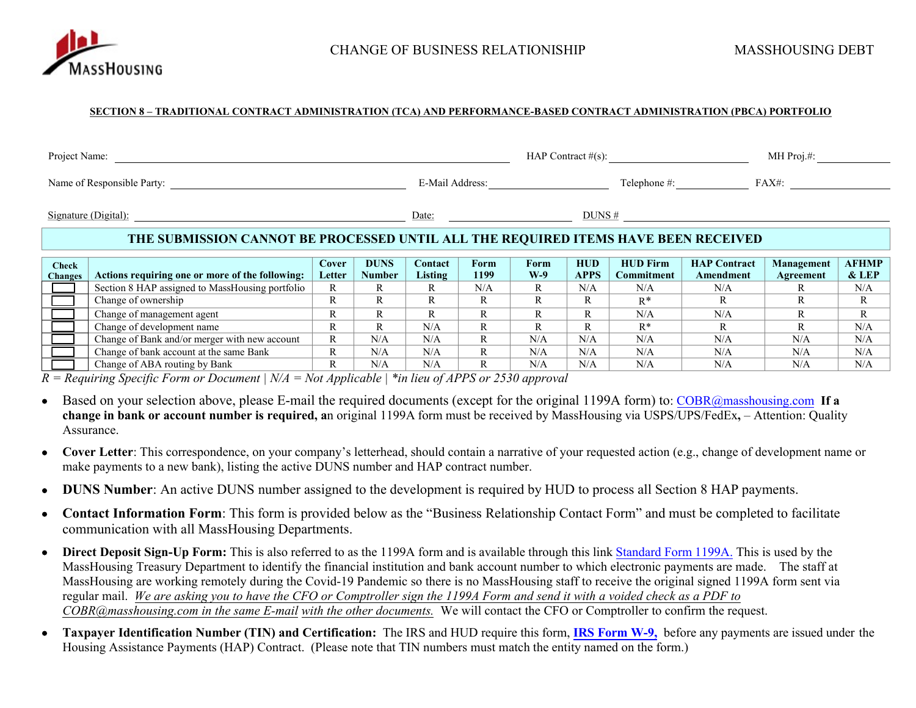

#### **SECTION 8 – TRADITIONAL CONTRACT ADMINISTRATION (TCA) AND PERFORMANCE-BASED CONTRACT ADMINISTRATION (PBCA) PORTFOLIO**

| Project Name:  |                                                                                    |        |               |                 |         |       |             | HAP Contract $#(s)$ : |                     | MH Proj.#:        |              |
|----------------|------------------------------------------------------------------------------------|--------|---------------|-----------------|---------|-------|-------------|-----------------------|---------------------|-------------------|--------------|
|                | Name of Responsible Party:                                                         |        |               | E-Mail Address: |         |       |             | Telephone #:          |                     | FAX#:             |              |
|                | Signature (Digital):                                                               |        |               | Date:           |         |       | DUNS#       |                       |                     |                   |              |
|                |                                                                                    |        |               |                 |         |       |             |                       |                     |                   |              |
|                | THE SUBMISSION CANNOT BE PROCESSED UNTIL ALL THE REQUIRED ITEMS HAVE BEEN RECEIVED |        |               |                 |         |       |             |                       |                     |                   |              |
|                |                                                                                    |        |               |                 |         |       |             |                       |                     |                   |              |
| <b>Check</b>   |                                                                                    | Cover  | <b>DUNS</b>   | Contact         | Form    | Form  | <b>HUD</b>  | <b>HUD Firm</b>       | <b>HAP Contract</b> | <b>Management</b> | <b>AFHMP</b> |
| <b>Changes</b> | Actions requiring one or more of the following:                                    | Letter | <b>Number</b> | Listing         | 1199    | $W-9$ | <b>APPS</b> | <b>Commitment</b>     | Amendment           | Agreement         | $&$ LEP      |
|                | Section 8 HAP assigned to MassHousing portfolio                                    | R      |               | R               | N/A     | R     | N/A         | N/A                   | N/A                 |                   | N/A          |
|                | Change of ownership                                                                | R      | R             | R               | R       | R     | R           | $R^*$                 | R                   | R                 | R            |
|                | Change of management agent                                                         | R      | R             | R               | D<br>А. | R     | R           | N/A                   | N/A                 | R                 | R            |

Change of development name R R R N/A R R R R R R R R R R R R R R R R R N/A Change of Bank and/or merger with new account R N/A N/A N/A R N/A N/A N/A N/A N/A N/A N/A N/A Change of bank account at the same Bank R N/A N/A N/A R N/A N/A N/A N/A N/A N/A N/A N/A Change of ABA routing by Bank R N/A N/A N/A R N/A N/A N/A N/A N/A N/A N/A N/A N/A

*R = Requiring Specific Form or Document | N/A = Not Applicable | \*in lieu of APPS or 2530 approval* 

- Based on your selection above, please E-mail the required documents (except for the original 1199A form) to: [COBR@masshousing.com](mailto:COBR@masshousing.com) **If a change in bank or account number is required, a**n original 1199A form must be received by MassHousing via USPS/UPS/FedEx**,** – Attention: Quality Assurance.
- **Cover Letter**: This correspondence, on your company's letterhead, should contain a narrative of your requested action (e.g., change of development name or make payments to a new bank), listing the active DUNS number and HAP contract number.
- **DUNS Number**: An active DUNS number assigned to the development is required by HUD to process all Section 8 HAP payments.
- **Contact Information Form**: This form is provided below as the "Business Relationship Contact Form" and must be completed to facilitate communication with all MassHousing Departments.
- **Direct Deposit Sign-Up Form:** This is also referred to as the 1199A form and is available through this link [Standard Form 1199A.](https://www.gsa.gov/portal/forms/download/115702) This is used by the MassHousing Treasury Department to identify the financial institution and bank account number to which electronic payments are made. The staff at MassHousing are working remotely during the Covid-19 Pandemic so there is no MassHousing staff to receive the original signed 1199A form sent via regular mail. *We are asking you to have the CFO or Comptroller sign the 1199A Form and send it with a voided check as a PDF to COBR@masshousing.com in the same E-mail with the other documents.* We will contact the CFO or Comptroller to confirm the request.
- **Taxpayer Identification Number (TIN) and Certification:** The IRS and HUD require this form, **[IRS Form](https://www.irs.gov/pub/irs-pdf/fw9.pdf) W-9,** before any payments are issued under the Housing Assistance Payments (HAP) Contract. (Please note that TIN numbers must match the entity named on the form.)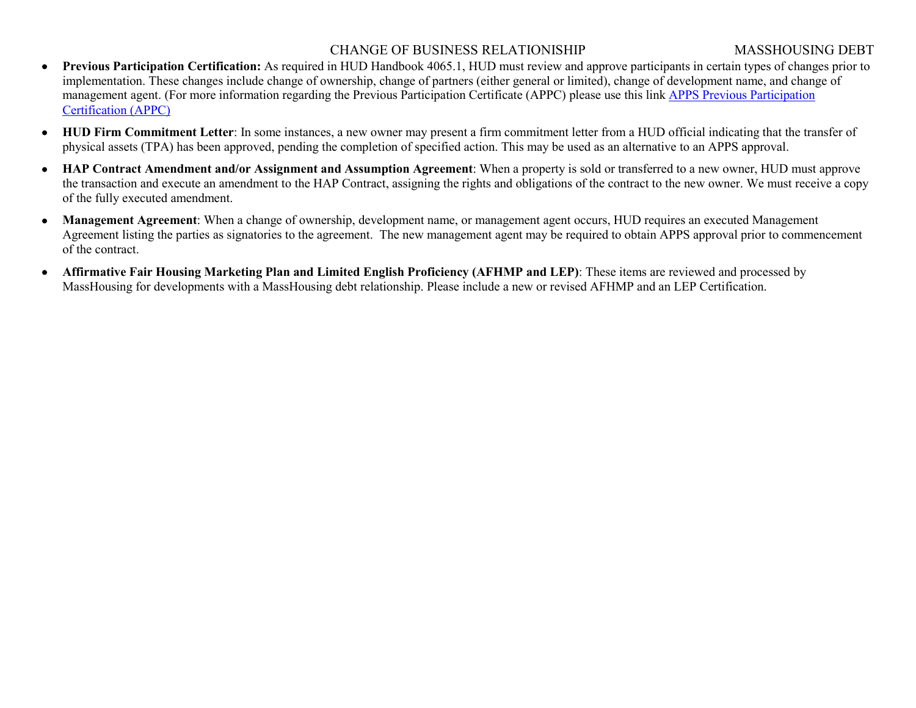#### CHANGE OF BUSINESS RELATIONISHIP MASSHOUSING DEBT

- **Previous Participation Certification:** As required in HUD Handbook 4065.1, HUD must review and approve participants in certain types of changes prior to implementation. These changes include change of ownership, change of partners (either general or limited), change of development name, and change of management agent. (For more information regarding the Previous Participation Certificate (APPC) please use this link [APPS Previous Participation](http://portal.hud.gov/hudportal/HUD?src=/program_offices/housing/mfh/apps/appsmfhm) [Certification \(APPC\)](http://portal.hud.gov/hudportal/HUD?src=/program_offices/housing/mfh/apps/appsmfhm)
- **HUD Firm Commitment Letter**: In some instances, a new owner may present a firm commitment letter from a HUD official indicating that the transfer of physical assets (TPA) has been approved, pending the completion of specified action. This may be used as an alternative to an APPS approval.
- **HAP Contract Amendment and/or Assignment and Assumption Agreement**: When a property is sold or transferred to a new owner, HUD must approve the transaction and execute an amendment to the HAP Contract, assigning the rights and obligations of the contract to the new owner. We must receive a copy of the fully executed amendment.
- **Management Agreement**: When a change of ownership, development name, or management agent occurs, HUD requires an executed Management Agreement listing the parties as signatories to the agreement. The new management agent may be required to obtain APPS approval prior to commencement of the contract.
- **Affirmative Fair Housing Marketing Plan and Limited English Proficiency (AFHMP and LEP)**: These items are reviewed and processed by MassHousing for developments with a MassHousing debt relationship. Please include a new or revised AFHMP and an LEP Certification.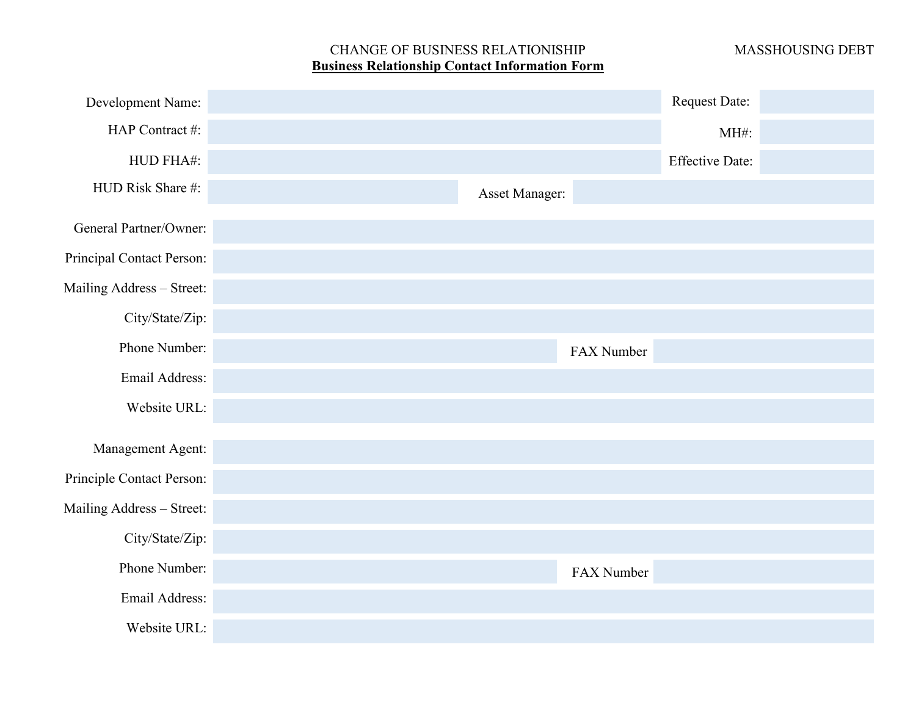# CHANGE OF BUSINESS RELATIONISHIP MASSHOUSING DEBT **Business Relationship Contact Information Form**

| Development Name:         |                |            | <b>Request Date:</b>   |  |
|---------------------------|----------------|------------|------------------------|--|
| HAP Contract #:           |                |            | MH#:                   |  |
| HUD FHA#:                 |                |            | <b>Effective Date:</b> |  |
| HUD Risk Share #:         | Asset Manager: |            |                        |  |
| General Partner/Owner:    |                |            |                        |  |
| Principal Contact Person: |                |            |                        |  |
| Mailing Address - Street: |                |            |                        |  |
| City/State/Zip:           |                |            |                        |  |
| Phone Number:             |                | FAX Number |                        |  |
| Email Address:            |                |            |                        |  |
| Website URL:              |                |            |                        |  |
| Management Agent:         |                |            |                        |  |
| Principle Contact Person: |                |            |                        |  |
| Mailing Address - Street: |                |            |                        |  |
| City/State/Zip:           |                |            |                        |  |
| Phone Number:             |                | FAX Number |                        |  |
| Email Address:            |                |            |                        |  |
| Website URL:              |                |            |                        |  |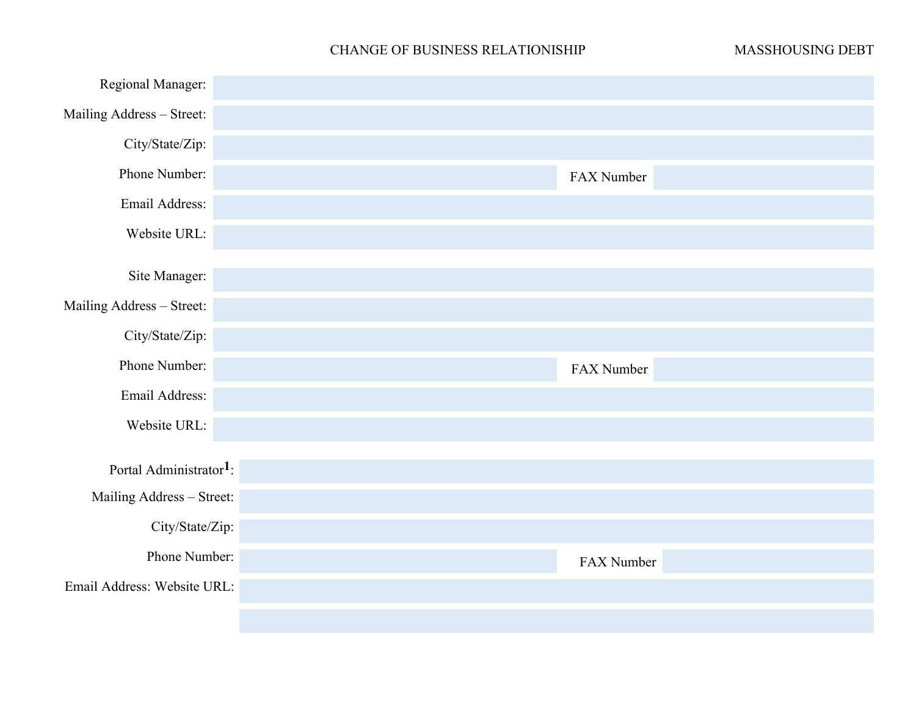### CHANGE OF BUSINESS RELATIONISHIP MASSHOUSING DEBT

| Regional Manager:                   |            |
|-------------------------------------|------------|
| Mailing Address - Street:           |            |
| City/State/Zip:                     |            |
| Phone Number:                       | FAX Number |
| Email Address:                      |            |
| Website URL:                        |            |
| Site Manager:                       |            |
| Mailing Address - Street:           |            |
| City/State/Zip:                     |            |
| Phone Number:                       | FAX Number |
| Email Address:                      |            |
| Website URL:                        |            |
|                                     |            |
| Portal Administrator <sup>1</sup> : |            |
| Mailing Address - Street:           |            |
|                                     |            |
| City/State/Zip:                     |            |
| Phone Number:                       | FAX Number |
| Email Address: Website URL:         |            |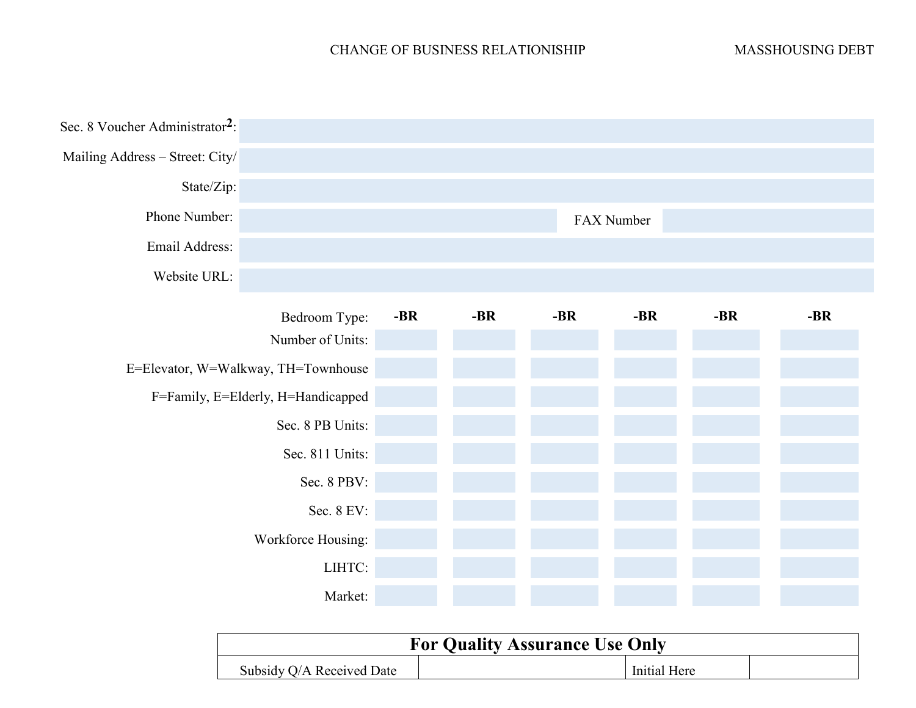## CHANGE OF BUSINESS RELATIONISHIP MASSHOUSING DEBT

| Sec. 8 Voucher Administrator <sup>2</sup> : |                                     |       |       |     |            |       |       |
|---------------------------------------------|-------------------------------------|-------|-------|-----|------------|-------|-------|
| Mailing Address - Street: City/             |                                     |       |       |     |            |       |       |
| State/Zip:                                  |                                     |       |       |     |            |       |       |
| Phone Number:                               |                                     |       |       |     | FAX Number |       |       |
| Email Address:                              |                                     |       |       |     |            |       |       |
| Website URL:                                |                                     |       |       |     |            |       |       |
|                                             | Bedroom Type:                       | $-BR$ | $-BR$ | -BR | $-BR$      | $-BR$ | $-BR$ |
|                                             | Number of Units:                    |       |       |     |            |       |       |
|                                             | E=Elevator, W=Walkway, TH=Townhouse |       |       |     |            |       |       |
|                                             | F=Family, E=Elderly, H=Handicapped  |       |       |     |            |       |       |
|                                             | Sec. 8 PB Units:                    |       |       |     |            |       |       |
|                                             | Sec. 811 Units:                     |       |       |     |            |       |       |
|                                             | Sec. 8 PBV:                         |       |       |     |            |       |       |
|                                             | Sec. 8 EV:                          |       |       |     |            |       |       |
|                                             | Workforce Housing:                  |       |       |     |            |       |       |
|                                             | LIHTC:                              |       |       |     |            |       |       |
|                                             | Market:                             |       |       |     |            |       |       |

| <b>For Quality Assurance Use Only</b> |  |              |  |  |  |  |  |
|---------------------------------------|--|--------------|--|--|--|--|--|
| Subsidy Q/A Received Date             |  | Initial Here |  |  |  |  |  |